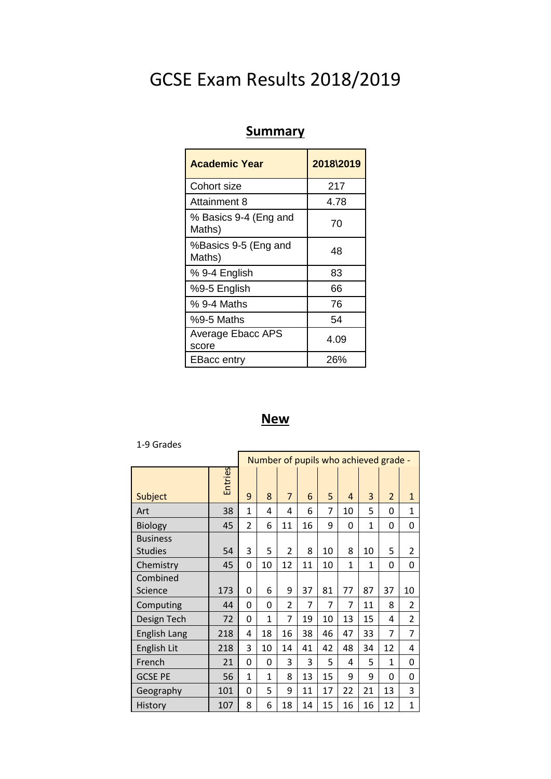# GCSE Exam Results 2018/2019

## **Summary**

| <b>Academic Year</b>            | 2018\2019 |
|---------------------------------|-----------|
| Cohort size                     | 217       |
| Attainment 8                    | 4.78      |
| % Basics 9-4 (Eng and<br>Maths) | 70        |
| %Basics 9-5 (Eng and<br>Maths)  | 48        |
| % 9-4 English                   | 83        |
| %9-5 English                    | 66        |
| % 9-4 Maths                     | 76        |
| $%9-5$ Maths                    | 54        |
| Average Ebacc APS<br>score      | 4.09      |
| <b>EBacc entry</b>              | 26%       |

### **New**

#### 1-9 Grades

|                                   |         | Number of pupils who achieved grade - |              |                |    |    |    |                |                |                |
|-----------------------------------|---------|---------------------------------------|--------------|----------------|----|----|----|----------------|----------------|----------------|
| Subject                           | Entries | 9                                     | 8            | $\overline{7}$ | 6  | 5  | 4  | 3              | $\overline{2}$ | $\mathbf{1}$   |
| Art                               | 38      | $\mathbf{1}$                          | 4            | 4              | 6  | 7  | 10 | 5              | 0              | $\mathbf{1}$   |
| <b>Biology</b>                    | 45      | 2                                     | 6            | 11             | 16 | 9  | 0  | $\mathbf{1}$   | 0              | 0              |
| <b>Business</b><br><b>Studies</b> | 54      | 3                                     | 5            | 2              | 8  | 10 | 8  | 10             | 5              | 2              |
| Chemistry                         | 45      | 0                                     | 10           | 12             | 11 | 10 | 1  | $\overline{1}$ | 0              | 0              |
| Combined<br>Science               | 173     | 0                                     | 6            | 9              | 37 | 81 | 77 | 87             | 37             | 10             |
| Computing                         | 44      | 0                                     | 0            | 2              | 7  | 7  | 7  | 11             | 8              | $\overline{2}$ |
| Design Tech                       | 72      | 0                                     | $\mathbf{1}$ | 7              | 19 | 10 | 13 | 15             | 4              | $\overline{2}$ |
| <b>English Lang</b>               | 218     | 4                                     | 18           | 16             | 38 | 46 | 47 | 33             | 7              | 7              |
| English Lit                       | 218     | 3                                     | 10           | 14             | 41 | 42 | 48 | 34             | 12             | 4              |
| French                            | 21      | 0                                     | 0            | 3              | 3  | 5  | 4  | 5              | 1              | 0              |
| <b>GCSE PE</b>                    | 56      | $\mathbf{1}$                          | $\mathbf{1}$ | 8              | 13 | 15 | 9  | 9              | 0              | 0              |
|                                   |         |                                       |              |                |    |    |    |                |                |                |
| Geography                         | 101     | 0                                     | 5            | 9              | 11 | 17 | 22 | 21             | 13             | 3              |